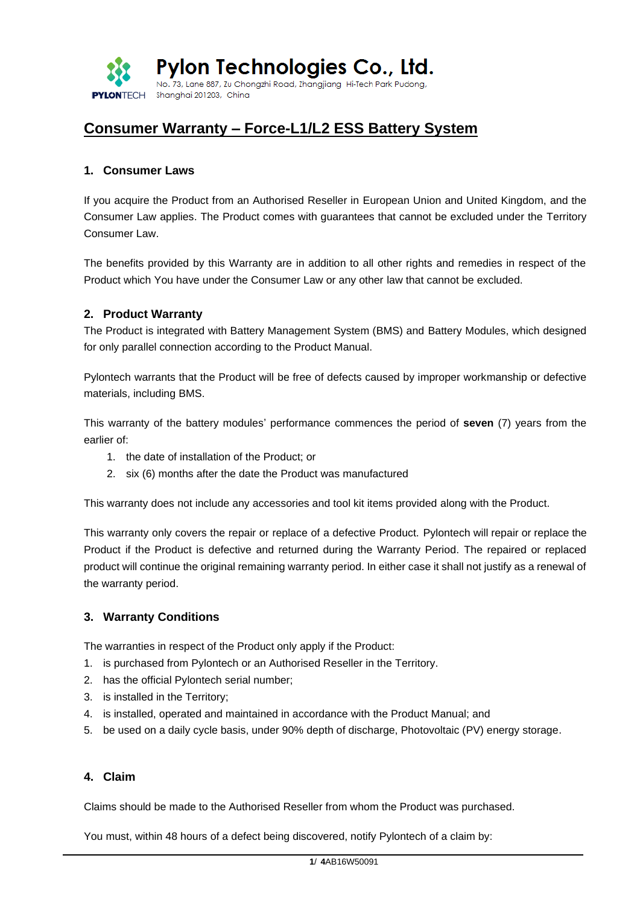

# **Consumer Warranty – Force-L1/L2 ESS Battery System**

### **1. Consumer Laws**

If you acquire the Product from an Authorised Reseller in European Union and United Kingdom, and the Consumer Law applies. The Product comes with guarantees that cannot be excluded under the Territory Consumer Law.

The benefits provided by this Warranty are in addition to all other rights and remedies in respect of the Product which You have under the Consumer Law or any other law that cannot be excluded.

### **2. Product Warranty**

The Product is integrated with Battery Management System (BMS) and Battery Modules, which designed for only parallel connection according to the Product Manual.

Pylontech warrants that the Product will be free of defects caused by improper workmanship or defective materials, including BMS.

This warranty of the battery modules' performance commences the period of **seven** (7) years from the earlier of:

- 1. the date of installation of the Product; or
- 2. six (6) months after the date the Product was manufactured

This warranty does not include any accessories and tool kit items provided along with the Product.

This warranty only covers the repair or replace of a defective Product. Pylontech will repair or replace the Product if the Product is defective and returned during the Warranty Period. The repaired or replaced product will continue the original remaining warranty period. In either case it shall not justify as a renewal of the warranty period.

### **3. Warranty Conditions**

The warranties in respect of the Product only apply if the Product:

- 1. is purchased from Pylontech or an Authorised Reseller in the Territory.
- 2. has the official Pylontech serial number;
- 3. is installed in the Territory;
- 4. is installed, operated and maintained in accordance with the Product Manual; and
- 5. be used on a daily cycle basis, under 90% depth of discharge, Photovoltaic (PV) energy storage.

### **4. Claim**

Claims should be made to the Authorised Reseller from whom the Product was purchased.

You must, within 48 hours of a defect being discovered, notify Pylontech of a claim by: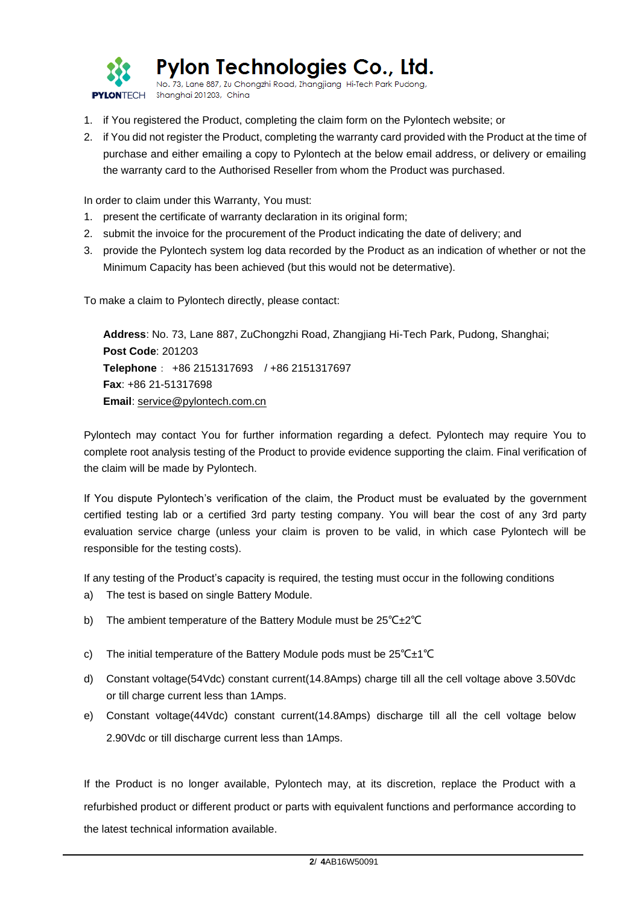

Pylon Technologies Co., Ltd.

No. 73, Lane 887, Zu Chongzhi Road, Zhangjiang Hi-Tech Park Pude PYLONTECH Shanghai 201203, China

- 1. if You registered the Product, completing the claim form on the Pylontech website; or
- 2. if You did not register the Product, completing the warranty card provided with the Product at the time of purchase and either emailing a copy to Pylontech at the below email address, or delivery or emailing the warranty card to the Authorised Reseller from whom the Product was purchased.

In order to claim under this Warranty, You must:

- 1. present the certificate of warranty declaration in its original form;
- 2. submit the invoice for the procurement of the Product indicating the date of delivery; and
- 3. provide the Pylontech system log data recorded by the Product as an indication of whether or not the Minimum Capacity has been achieved (but this would not be determative).

To make a claim to Pylontech directly, please contact:

**Address**: No. 73, Lane 887, ZuChongzhi Road, Zhangjiang Hi-Tech Park, Pudong, Shanghai; **Post Code**: 201203 **Telephone**: +86 2151317693 / +86 2151317697 **Fax**: +86 21-51317698 **Email**: [service@pylontech.com.cn](mailto:service@pylontech.com.cn)

Pylontech may contact You for further information regarding a defect. Pylontech may require You to complete root analysis testing of the Product to provide evidence supporting the claim. Final verification of the claim will be made by Pylontech.

If You dispute Pylontech's verification of the claim, the Product must be evaluated by the government certified testing lab or a certified 3rd party testing company. You will bear the cost of any 3rd party evaluation service charge (unless your claim is proven to be valid, in which case Pylontech will be responsible for the testing costs).

If any testing of the Product's capacity is required, the testing must occur in the following conditions

- a) The test is based on single Battery Module.
- b) The ambient temperature of the Battery Module must be 25℃±2℃
- c) The initial temperature of the Battery Module pods must be 25℃±1℃
- d) Constant voltage(54Vdc) constant current(14.8Amps) charge till all the cell voltage above 3.50Vdc or till charge current less than 1Amps.
- e) Constant voltage(44Vdc) constant current(14.8Amps) discharge till all the cell voltage below 2.90Vdc or till discharge current less than 1Amps.

If the Product is no longer available, Pylontech may, at its discretion, replace the Product with a refurbished product or different product or parts with equivalent functions and performance according to the latest technical information available.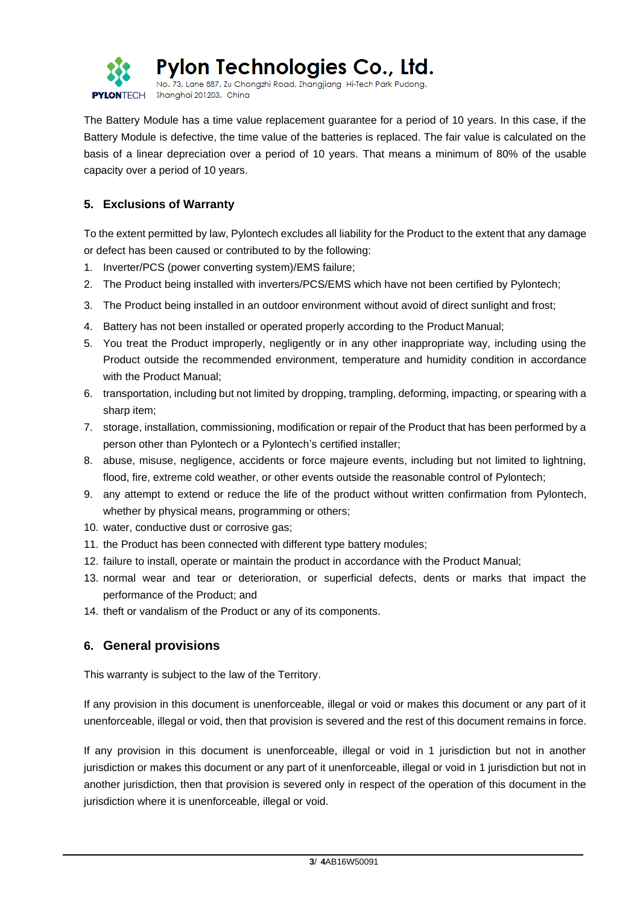

Pylon Technologies Co., Ltd.

No. 73, Lane 887, Zu Chongzhi Road, Zhangjiang Hi-Tech Park Pudong, PYLONTECH Shanghai 201203, China

The Battery Module has a time value replacement guarantee for a period of 10 years. In this case, if the Battery Module is defective, the time value of the batteries is replaced. The fair value is calculated on the basis of a linear depreciation over a period of 10 years. That means a minimum of 80% of the usable capacity over a period of 10 years.

### **5. Exclusions of Warranty**

To the extent permitted by law, Pylontech excludes all liability for the Product to the extent that any damage or defect has been caused or contributed to by the following:

- 1. Inverter/PCS (power converting system)/EMS failure;
- 2. The Product being installed with inverters/PCS/EMS which have not been certified by Pylontech;
- 3. The Product being installed in an outdoor environment without avoid of direct sunlight and frost;
- 4. Battery has not been installed or operated properly according to the Product Manual;
- 5. You treat the Product improperly, negligently or in any other inappropriate way, including using the Product outside the recommended environment, temperature and humidity condition in accordance with the Product Manual;
- 6. transportation, including but not limited by dropping, trampling, deforming, impacting, or spearing with a sharp item;
- 7. storage, installation, commissioning, modification or repair of the Product that has been performed by a person other than Pylontech or a Pylontech's certified installer;
- 8. abuse, misuse, negligence, accidents or force majeure events, including but not limited to lightning, flood, fire, extreme cold weather, or other events outside the reasonable control of Pylontech;
- 9. any attempt to extend or reduce the life of the product without written confirmation from Pylontech, whether by physical means, programming or others;
- 10. water, conductive dust or corrosive gas;
- 11. the Product has been connected with different type battery modules;
- 12. failure to install, operate or maintain the product in accordance with the Product Manual;
- 13. normal wear and tear or deterioration, or superficial defects, dents or marks that impact the performance of the Product; and
- 14. theft or vandalism of the Product or any of its components.

## **6. General provisions**

This warranty is subject to the law of the Territory.

If any provision in this document is unenforceable, illegal or void or makes this document or any part of it unenforceable, illegal or void, then that provision is severed and the rest of this document remains in force.

If any provision in this document is unenforceable, illegal or void in 1 jurisdiction but not in another jurisdiction or makes this document or any part of it unenforceable, illegal or void in 1 jurisdiction but not in another jurisdiction, then that provision is severed only in respect of the operation of this document in the jurisdiction where it is unenforceable, illegal or void.